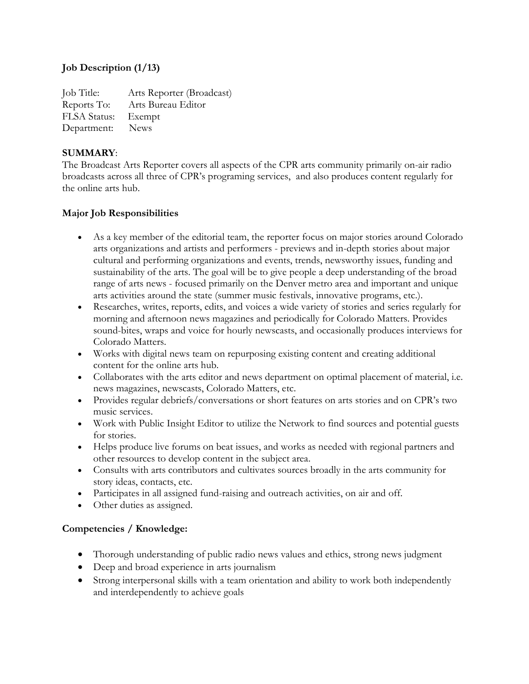## **Job Description (1/13)**

Job Title: Arts Reporter (Broadcast) Reports To: Arts Bureau Editor FLSA Status: Exempt Department: News

#### **SUMMARY**:

The Broadcast Arts Reporter covers all aspects of the CPR arts community primarily on-air radio broadcasts across all three of CPR's programing services, and also produces content regularly for the online arts hub.

### **Major Job Responsibilities**

- As a key member of the editorial team, the reporter focus on major stories around Colorado arts organizations and artists and performers - previews and in-depth stories about major cultural and performing organizations and events, trends, newsworthy issues, funding and sustainability of the arts. The goal will be to give people a deep understanding of the broad range of arts news - focused primarily on the Denver metro area and important and unique arts activities around the state (summer music festivals, innovative programs, etc.).
- Researches, writes, reports, edits, and voices a wide variety of stories and series regularly for morning and afternoon news magazines and periodically for Colorado Matters. Provides sound-bites, wraps and voice for hourly newscasts, and occasionally produces interviews for Colorado Matters.
- Works with digital news team on repurposing existing content and creating additional content for the online arts hub.
- Collaborates with the arts editor and news department on optimal placement of material, i.e. news magazines, newscasts, Colorado Matters, etc.
- Provides regular debriefs/conversations or short features on arts stories and on CPR's two music services.
- Work with Public Insight Editor to utilize the Network to find sources and potential guests for stories.
- Helps produce live forums on beat issues, and works as needed with regional partners and other resources to develop content in the subject area.
- Consults with arts contributors and cultivates sources broadly in the arts community for story ideas, contacts, etc.
- Participates in all assigned fund-raising and outreach activities, on air and off.
- Other duties as assigned.

### **Competencies / Knowledge:**

- Thorough understanding of public radio news values and ethics, strong news judgment
- Deep and broad experience in arts journalism
- Strong interpersonal skills with a team orientation and ability to work both independently and interdependently to achieve goals